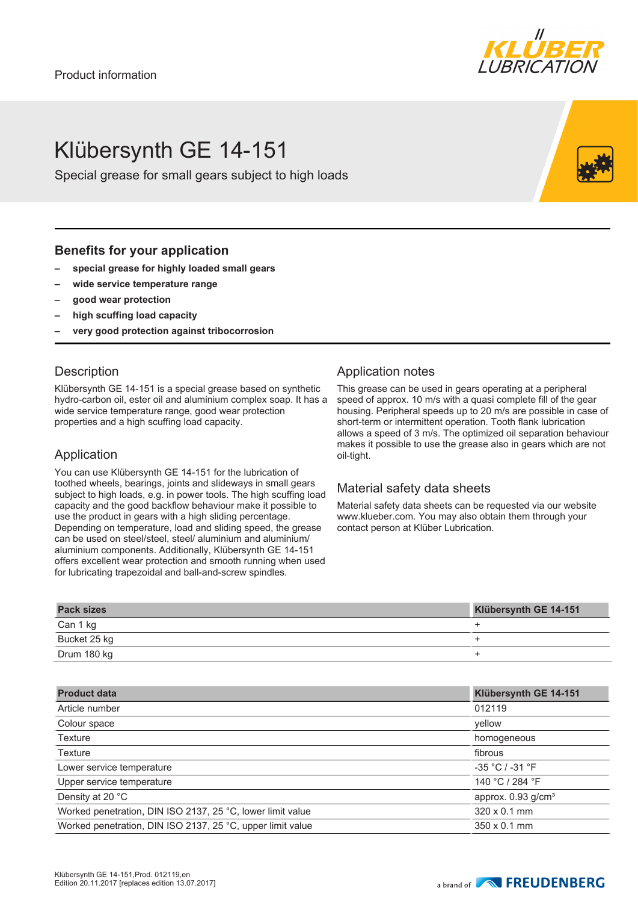# Klübersynth GE 14-151

Special grease for small gears subject to high loads

### **Benefits for your application**

- **– special grease for highly loaded small gears**
- **– wide service temperature range**
- **– good wear protection**
- **– high scuffing load capacity**
- **– very good protection against tribocorrosion**

### **Description**

Klübersynth GE 14-151 is a special grease based on synthetic hydro-carbon oil, ester oil and aluminium complex soap. It has a wide service temperature range, good wear protection properties and a high scuffing load capacity.

#### Application

You can use Klübersynth GE 14-151 for the lubrication of toothed wheels, bearings, joints and slideways in small gears subject to high loads, e.g. in power tools. The high scuffing load capacity and the good backflow behaviour make it possible to use the product in gears with a high sliding percentage. Depending on temperature, load and sliding speed, the grease can be used on steel/steel, steel/ aluminium and aluminium/ aluminium components. Additionally, Klübersynth GE 14-151 offers excellent wear protection and smooth running when used for lubricating trapezoidal and ball-and-screw spindles.

#### Application notes

This grease can be used in gears operating at a peripheral speed of approx. 10 m/s with a quasi complete fill of the gear housing. Peripheral speeds up to 20 m/s are possible in case of short-term or intermittent operation. Tooth flank lubrication allows a speed of 3 m/s. The optimized oil separation behaviour makes it possible to use the grease also in gears which are not oil-tight.

#### Material safety data sheets

Material safety data sheets can be requested via our website www.klueber.com. You may also obtain them through your contact person at Klüber Lubrication.

| <b>Pack sizes</b> | Klübersynth GE 14-151 |
|-------------------|-----------------------|
| Can 1 kg          |                       |
| Bucket 25 kg      |                       |
| Drum 180 kg       |                       |

| Klübersynth GE 14-151          |
|--------------------------------|
| 012119                         |
| yellow                         |
| homogeneous                    |
| fibrous                        |
| $-35 °C / -31 °F$              |
| 140 °C / 284 °F                |
| approx. 0.93 g/cm <sup>3</sup> |
| $320 \times 0.1$ mm            |
| $350 \times 0.1$ mm            |
|                                |